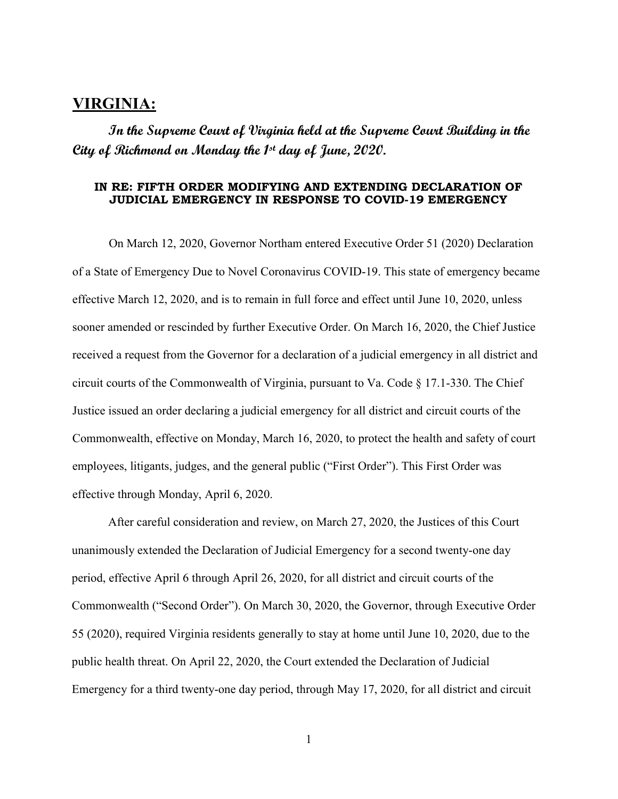## **VIRGINIA:**

**In the Supreme Court of Virginia held at the Supreme Court Building in the City of Richmond on Monday the 1st day of June, 2020.** 

## **IN RE: FIFTH ORDER MODIFYING AND EXTENDING DECLARATION OF JUDICIAL EMERGENCY IN RESPONSE TO COVID-19 EMERGENCY**

On March 12, 2020, Governor Northam entered Executive Order 51 (2020) Declaration of a State of Emergency Due to Novel Coronavirus COVID-19. This state of emergency became effective March 12, 2020, and is to remain in full force and effect until June 10, 2020, unless sooner amended or rescinded by further Executive Order. On March 16, 2020, the Chief Justice received a request from the Governor for a declaration of a judicial emergency in all district and circuit courts of the Commonwealth of Virginia, pursuant to Va. Code § 17.1-330. The Chief Justice issued an order declaring a judicial emergency for all district and circuit courts of the Commonwealth, effective on Monday, March 16, 2020, to protect the health and safety of court employees, litigants, judges, and the general public ("First Order"). This First Order was effective through Monday, April 6, 2020.

After careful consideration and review, on March 27, 2020, the Justices of this Court unanimously extended the Declaration of Judicial Emergency for a second twenty-one day period, effective April 6 through April 26, 2020, for all district and circuit courts of the Commonwealth ("Second Order"). On March 30, 2020, the Governor, through Executive Order 55 (2020), required Virginia residents generally to stay at home until June 10, 2020, due to the public health threat. On April 22, 2020, the Court extended the Declaration of Judicial Emergency for a third twenty-one day period, through May 17, 2020, for all district and circuit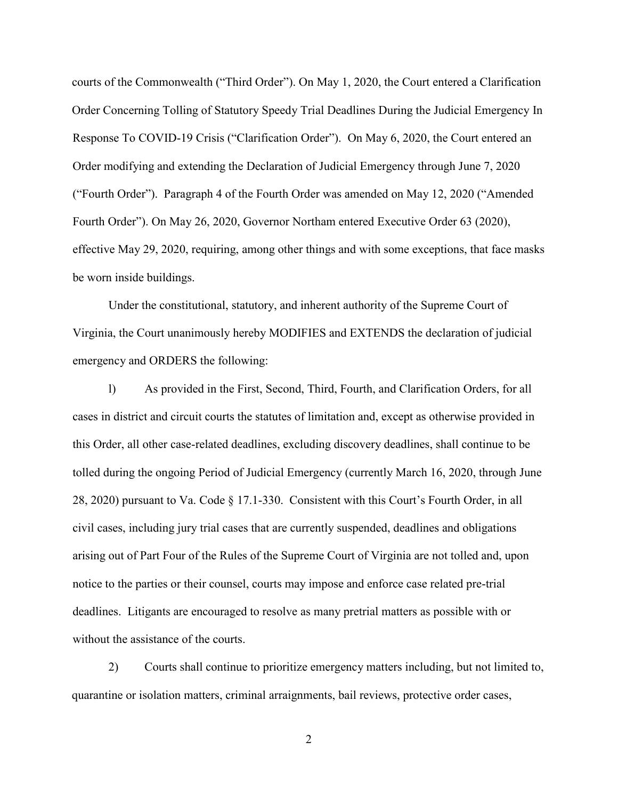courts of the Commonwealth ("Third Order"). On May 1, 2020, the Court entered a Clarification Order Concerning Tolling of Statutory Speedy Trial Deadlines During the Judicial Emergency In Response To COVID-19 Crisis ("Clarification Order"). On May 6, 2020, the Court entered an Order modifying and extending the Declaration of Judicial Emergency through June 7, 2020 ("Fourth Order"). Paragraph 4 of the Fourth Order was amended on May 12, 2020 ("Amended Fourth Order"). On May 26, 2020, Governor Northam entered Executive Order 63 (2020), effective May 29, 2020, requiring, among other things and with some exceptions, that face masks be worn inside buildings.

Under the constitutional, statutory, and inherent authority of the Supreme Court of Virginia, the Court unanimously hereby MODIFIES and EXTENDS the declaration of judicial emergency and ORDERS the following:

l) As provided in the First, Second, Third, Fourth, and Clarification Orders, for all cases in district and circuit courts the statutes of limitation and, except as otherwise provided in this Order, all other case-related deadlines, excluding discovery deadlines, shall continue to be tolled during the ongoing Period of Judicial Emergency (currently March 16, 2020, through June 28, 2020) pursuant to Va. Code § 17.1-330. Consistent with this Court's Fourth Order, in all civil cases, including jury trial cases that are currently suspended, deadlines and obligations arising out of Part Four of the Rules of the Supreme Court of Virginia are not tolled and, upon notice to the parties or their counsel, courts may impose and enforce case related pre-trial deadlines. Litigants are encouraged to resolve as many pretrial matters as possible with or without the assistance of the courts.

2) Courts shall continue to prioritize emergency matters including, but not limited to, quarantine or isolation matters, criminal arraignments, bail reviews, protective order cases,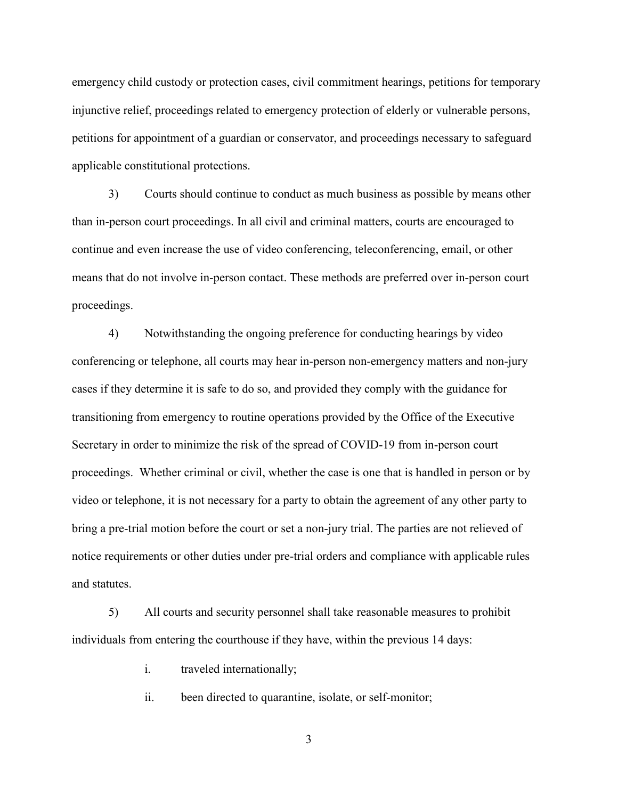emergency child custody or protection cases, civil commitment hearings, petitions for temporary injunctive relief, proceedings related to emergency protection of elderly or vulnerable persons, petitions for appointment of a guardian or conservator, and proceedings necessary to safeguard applicable constitutional protections.

3) Courts should continue to conduct as much business as possible by means other than in-person court proceedings. In all civil and criminal matters, courts are encouraged to continue and even increase the use of video conferencing, teleconferencing, email, or other means that do not involve in-person contact. These methods are preferred over in-person court proceedings.

4) Notwithstanding the ongoing preference for conducting hearings by video conferencing or telephone, all courts may hear in-person non-emergency matters and non-jury cases if they determine it is safe to do so, and provided they comply with the guidance for transitioning from emergency to routine operations provided by the Office of the Executive Secretary in order to minimize the risk of the spread of COVID-19 from in-person court proceedings. Whether criminal or civil, whether the case is one that is handled in person or by video or telephone, it is not necessary for a party to obtain the agreement of any other party to bring a pre-trial motion before the court or set a non-jury trial. The parties are not relieved of notice requirements or other duties under pre-trial orders and compliance with applicable rules and statutes.

5) All courts and security personnel shall take reasonable measures to prohibit individuals from entering the courthouse if they have, within the previous 14 days:

i. traveled internationally;

ii. been directed to quarantine, isolate, or self-monitor;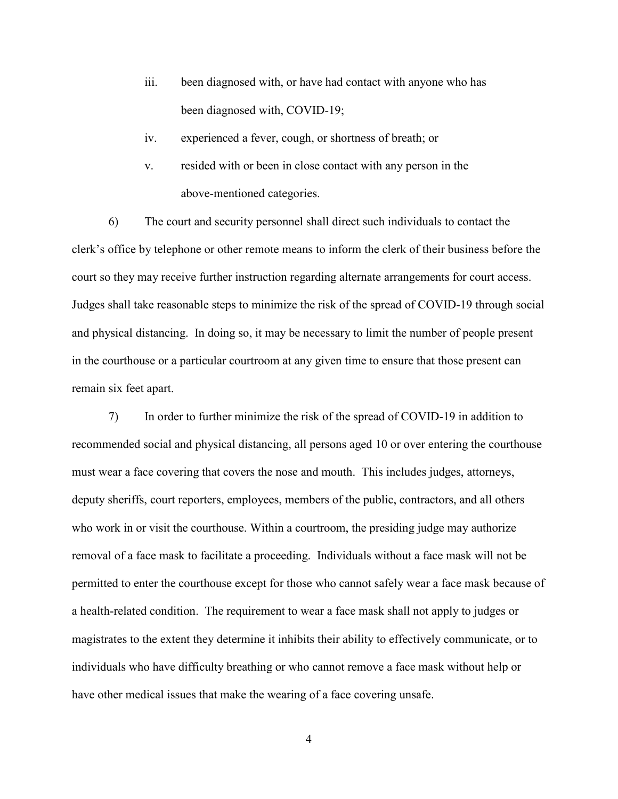- iii. been diagnosed with, or have had contact with anyone who has been diagnosed with, COVID-19;
- iv. experienced a fever, cough, or shortness of breath; or
- v. resided with or been in close contact with any person in the above-mentioned categories.

6) The court and security personnel shall direct such individuals to contact the clerk's office by telephone or other remote means to inform the clerk of their business before the court so they may receive further instruction regarding alternate arrangements for court access. Judges shall take reasonable steps to minimize the risk of the spread of COVID-19 through social and physical distancing. In doing so, it may be necessary to limit the number of people present in the courthouse or a particular courtroom at any given time to ensure that those present can remain six feet apart.

7) In order to further minimize the risk of the spread of COVID-19 in addition to recommended social and physical distancing, all persons aged 10 or over entering the courthouse must wear a face covering that covers the nose and mouth. This includes judges, attorneys, deputy sheriffs, court reporters, employees, members of the public, contractors, and all others who work in or visit the courthouse. Within a courtroom, the presiding judge may authorize removal of a face mask to facilitate a proceeding. Individuals without a face mask will not be permitted to enter the courthouse except for those who cannot safely wear a face mask because of a health-related condition. The requirement to wear a face mask shall not apply to judges or magistrates to the extent they determine it inhibits their ability to effectively communicate, or to individuals who have difficulty breathing or who cannot remove a face mask without help or have other medical issues that make the wearing of a face covering unsafe.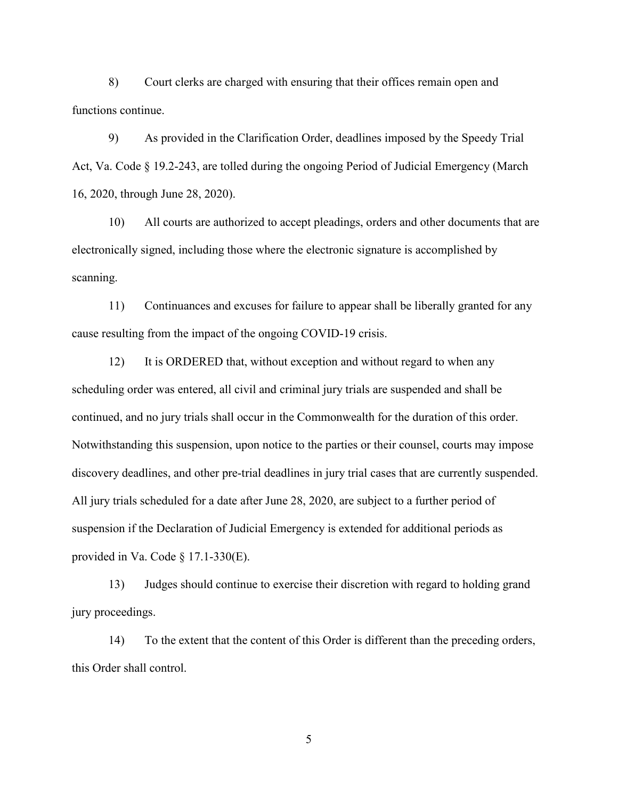8) Court clerks are charged with ensuring that their offices remain open and functions continue.

9) As provided in the Clarification Order, deadlines imposed by the Speedy Trial Act, Va. Code § 19.2-243, are tolled during the ongoing Period of Judicial Emergency (March 16, 2020, through June 28, 2020).

10) All courts are authorized to accept pleadings, orders and other documents that are electronically signed, including those where the electronic signature is accomplished by scanning.

11) Continuances and excuses for failure to appear shall be liberally granted for any cause resulting from the impact of the ongoing COVID-19 crisis.

12) It is ORDERED that, without exception and without regard to when any scheduling order was entered, all civil and criminal jury trials are suspended and shall be continued, and no jury trials shall occur in the Commonwealth for the duration of this order. Notwithstanding this suspension, upon notice to the parties or their counsel, courts may impose discovery deadlines, and other pre-trial deadlines in jury trial cases that are currently suspended. All jury trials scheduled for a date after June 28, 2020, are subject to a further period of suspension if the Declaration of Judicial Emergency is extended for additional periods as provided in Va. Code  $\S$  17.1-330(E).

13) Judges should continue to exercise their discretion with regard to holding grand jury proceedings.

14) To the extent that the content of this Order is different than the preceding orders, this Order shall control.